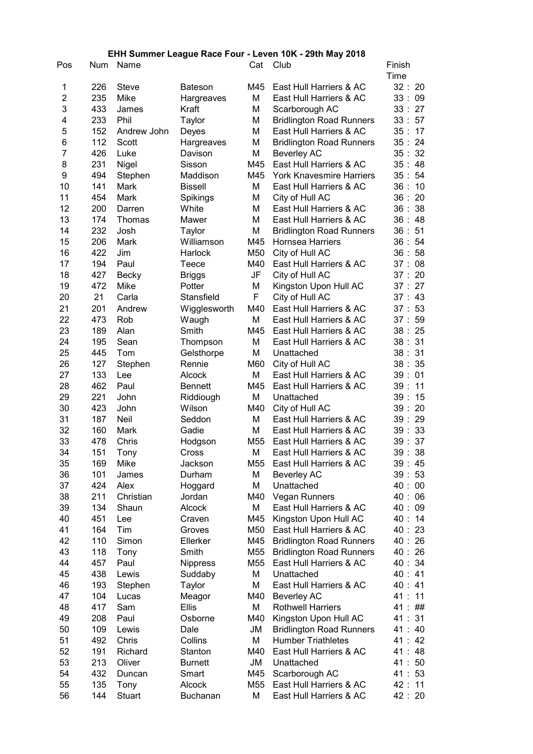## EHH Summer League Race Four - Leven 10K - 29th May 2018

| Time<br>32:<br>1<br>226<br>M45<br>East Hull Harriers & AC<br>20<br>Steve<br>Bateson<br>$\overline{2}$<br>235<br>Mike<br>М<br>East Hull Harriers & AC<br>33:<br>09<br>Hargreaves<br>3<br>433<br>27<br>Kraft<br>М<br>33:<br>James<br>Scarborough AC<br>4<br>233<br>Phil<br>М<br><b>Bridlington Road Runners</b><br>33:<br>57<br>Taylor<br>5<br>152<br>M<br>East Hull Harriers & AC<br>35:17<br>Andrew John<br>Deyes<br>6<br>112<br>М<br>35:24<br>Scott<br>Hargreaves<br><b>Bridlington Road Runners</b><br>7<br>426<br>М<br>32<br>Luke<br><b>Beverley AC</b><br>35:<br>Davison<br>8<br>35:<br>231<br>Sisson<br>M45<br>East Hull Harriers & AC<br>48<br>Nigel<br>9<br>35:<br>494<br>Stephen<br>M45<br><b>York Knavesmire Harriers</b><br>54<br>Maddison<br>10<br>141<br>М<br>36:<br>Mark<br>East Hull Harriers & AC<br>10<br><b>Bissell</b><br>11<br>454<br>M<br>Spikings<br>City of Hull AC<br>36:<br>20<br>Mark<br>12<br>200<br>White<br>Μ<br>East Hull Harriers & AC<br>36:<br>38<br>Darren<br>13<br>M<br>174<br>Mawer<br>East Hull Harriers & AC<br>36:<br>48<br>Thomas<br>14<br>M<br>232<br><b>Bridlington Road Runners</b><br>36:<br>51<br>Josh<br>Taylor<br>15<br>206<br>Mark<br>Williamson<br>M45<br><b>Hornsea Harriers</b><br>36:<br>54<br>16<br>422<br>Harlock<br>M50<br>City of Hull AC<br>36:<br>58<br>Jim<br>17<br>194<br>Paul<br>M40<br>East Hull Harriers & AC<br>37:<br>08<br>Teece<br>18<br>427<br>20<br>JF<br>City of Hull AC<br>37:<br>Becky<br><b>Briggs</b><br>19<br>472<br>Mike<br>Potter<br>М<br>Kingston Upon Hull AC<br>37:<br>27<br>20<br>21<br>F<br>Carla<br>Stansfield<br>City of Hull AC<br>37:<br>43<br>21<br>201<br>East Hull Harriers & AC<br>Andrew<br>M40<br>53<br>Wigglesworth<br>37:<br>22<br>М<br>East Hull Harriers & AC<br>473<br>Rob<br>59<br>Waugh<br>37:<br>23<br>East Hull Harriers & AC<br>189<br>Alan<br>Smith<br>M45<br>38:25<br>31<br>24<br>195<br>М<br>East Hull Harriers & AC<br>38:<br>Sean<br>Thompson<br>M<br>38:<br>31<br>25<br>445<br>Unattached<br>Tom<br>Gelsthorpe<br>26<br>M60<br>38:<br>35<br>127<br>Rennie<br>City of Hull AC<br>Stephen<br>М<br>East Hull Harriers & AC<br>39:<br>27<br>133<br>01<br>Lee<br><b>Alcock</b><br>462<br>28<br>Paul<br>M45<br>East Hull Harriers & AC<br>39:<br>11<br><b>Bennett</b><br>221<br>М<br>29<br>John<br>Unattached<br>39:<br>15<br>Riddiough<br>30<br>423<br>39:<br>20<br>Wilson<br>M40<br>City of Hull AC<br>John<br>31<br>29<br>187<br>Neil<br>М<br>East Hull Harriers & AC<br>39:<br>Seddon<br>32<br>M<br>160<br>Gadie<br>East Hull Harriers & AC<br>39:<br>33<br>Mark<br>33<br>478<br>M <sub>55</sub><br>East Hull Harriers & AC<br>39:<br>37<br>Chris<br>Hodgson<br>34<br>38<br>151<br>М<br>East Hull Harriers & AC<br>39:<br>Cross<br>Tony<br>35<br>169<br>Mike<br>Jackson<br>M55<br>East Hull Harriers & AC<br>39 :<br>45<br>36<br>101<br>39:<br>53<br>Durham<br>М<br><b>Beverley AC</b><br>James<br>40:<br>37<br>424<br>Μ<br>Unattached<br>$00\,$<br>Alex<br>Hoggard<br>38<br>211<br>Christian<br>M40<br>40 :<br>06<br>Jordan<br>Vegan Runners<br>39<br>134<br>М<br>East Hull Harriers & AC<br>40:<br>09<br>Shaun<br>Alcock<br>40<br>451<br>M45<br>Kingston Upon Hull AC<br>40:<br>14<br>Craven<br>Lee<br>41<br>164<br>M50<br>East Hull Harriers & AC<br>40:<br>23<br>Tim<br>Groves<br>42<br>110<br>M45<br>40:<br>26<br>Simon<br>Ellerker<br><b>Bridlington Road Runners</b><br>43<br>118<br>Smith<br>40:<br>26<br>Tony<br>M55<br><b>Bridlington Road Runners</b><br>44<br>457<br>Paul<br>M55<br>East Hull Harriers & AC<br>40:<br>34<br><b>Nippress</b><br>45<br>40:<br>438<br>Lewis<br>Suddaby<br>М<br>Unattached<br>41<br>46<br>М<br>40:<br>193<br>East Hull Harriers & AC<br>Stephen<br>Taylor<br>41<br>41 :<br>47<br>104<br><b>Beverley AC</b><br>11<br>Lucas<br>M40<br>Meagor<br>48<br>417<br>Sam<br><b>Ellis</b><br>М<br><b>Rothwell Harriers</b><br>41:<br>##<br>49<br>208<br>M40<br>Kingston Upon Hull AC<br>41 :<br>31<br>Paul<br>Osborne<br>50<br>109<br>Lewis<br>Dale<br>41 :<br>40<br>JM<br><b>Bridlington Road Runners</b><br>М<br>51<br>492<br>Chris<br>Collins<br><b>Humber Triathletes</b><br>41 :<br>42<br>52<br>191<br>Richard<br>Stanton<br>M40<br>East Hull Harriers & AC<br>41:<br>48<br>53<br>213<br>JM<br>50<br>Oliver<br><b>Burnett</b><br>Unattached<br>41 :<br>54<br>432<br>41:53<br>Smart<br>M45<br>Scarborough AC<br>Duncan<br>55<br>135<br>East Hull Harriers & AC<br>42: 11<br>Tony<br>Alcock<br>M55<br>56<br>144<br>М<br>East Hull Harriers & AC<br>42 : 20<br>Stuart<br><b>Buchanan</b> | Pos | <b>Num</b> | Name | Cat | Club | Finish |
|----------------------------------------------------------------------------------------------------------------------------------------------------------------------------------------------------------------------------------------------------------------------------------------------------------------------------------------------------------------------------------------------------------------------------------------------------------------------------------------------------------------------------------------------------------------------------------------------------------------------------------------------------------------------------------------------------------------------------------------------------------------------------------------------------------------------------------------------------------------------------------------------------------------------------------------------------------------------------------------------------------------------------------------------------------------------------------------------------------------------------------------------------------------------------------------------------------------------------------------------------------------------------------------------------------------------------------------------------------------------------------------------------------------------------------------------------------------------------------------------------------------------------------------------------------------------------------------------------------------------------------------------------------------------------------------------------------------------------------------------------------------------------------------------------------------------------------------------------------------------------------------------------------------------------------------------------------------------------------------------------------------------------------------------------------------------------------------------------------------------------------------------------------------------------------------------------------------------------------------------------------------------------------------------------------------------------------------------------------------------------------------------------------------------------------------------------------------------------------------------------------------------------------------------------------------------------------------------------------------------------------------------------------------------------------------------------------------------------------------------------------------------------------------------------------------------------------------------------------------------------------------------------------------------------------------------------------------------------------------------------------------------------------------------------------------------------------------------------------------------------------------------------------------------------------------------------------------------------------------------------------------------------------------------------------------------------------------------------------------------------------------------------------------------------------------------------------------------------------------------------------------------------------------------------------------------------------------------------------------------------------------------------------------------------------------------------------------------------------------------------------------------------------------------------------------------------------------------------------------------------------------------------------------------------------------------------------------------------------------------------------------------------------------------------------------------------------------------------------------------------------------------------------------------------------------------------------------------------------------------------------------------------------------------------------------------------------------------------------------------------------------------------------------------------------------------------------------------------------------------------------------------------------|-----|------------|------|-----|------|--------|
|                                                                                                                                                                                                                                                                                                                                                                                                                                                                                                                                                                                                                                                                                                                                                                                                                                                                                                                                                                                                                                                                                                                                                                                                                                                                                                                                                                                                                                                                                                                                                                                                                                                                                                                                                                                                                                                                                                                                                                                                                                                                                                                                                                                                                                                                                                                                                                                                                                                                                                                                                                                                                                                                                                                                                                                                                                                                                                                                                                                                                                                                                                                                                                                                                                                                                                                                                                                                                                                                                                                                                                                                                                                                                                                                                                                                                                                                                                                                                                                                                                                                                                                                                                                                                                                                                                                                                                                                                                                                                                                                  |     |            |      |     |      |        |
|                                                                                                                                                                                                                                                                                                                                                                                                                                                                                                                                                                                                                                                                                                                                                                                                                                                                                                                                                                                                                                                                                                                                                                                                                                                                                                                                                                                                                                                                                                                                                                                                                                                                                                                                                                                                                                                                                                                                                                                                                                                                                                                                                                                                                                                                                                                                                                                                                                                                                                                                                                                                                                                                                                                                                                                                                                                                                                                                                                                                                                                                                                                                                                                                                                                                                                                                                                                                                                                                                                                                                                                                                                                                                                                                                                                                                                                                                                                                                                                                                                                                                                                                                                                                                                                                                                                                                                                                                                                                                                                                  |     |            |      |     |      |        |
|                                                                                                                                                                                                                                                                                                                                                                                                                                                                                                                                                                                                                                                                                                                                                                                                                                                                                                                                                                                                                                                                                                                                                                                                                                                                                                                                                                                                                                                                                                                                                                                                                                                                                                                                                                                                                                                                                                                                                                                                                                                                                                                                                                                                                                                                                                                                                                                                                                                                                                                                                                                                                                                                                                                                                                                                                                                                                                                                                                                                                                                                                                                                                                                                                                                                                                                                                                                                                                                                                                                                                                                                                                                                                                                                                                                                                                                                                                                                                                                                                                                                                                                                                                                                                                                                                                                                                                                                                                                                                                                                  |     |            |      |     |      |        |
|                                                                                                                                                                                                                                                                                                                                                                                                                                                                                                                                                                                                                                                                                                                                                                                                                                                                                                                                                                                                                                                                                                                                                                                                                                                                                                                                                                                                                                                                                                                                                                                                                                                                                                                                                                                                                                                                                                                                                                                                                                                                                                                                                                                                                                                                                                                                                                                                                                                                                                                                                                                                                                                                                                                                                                                                                                                                                                                                                                                                                                                                                                                                                                                                                                                                                                                                                                                                                                                                                                                                                                                                                                                                                                                                                                                                                                                                                                                                                                                                                                                                                                                                                                                                                                                                                                                                                                                                                                                                                                                                  |     |            |      |     |      |        |
|                                                                                                                                                                                                                                                                                                                                                                                                                                                                                                                                                                                                                                                                                                                                                                                                                                                                                                                                                                                                                                                                                                                                                                                                                                                                                                                                                                                                                                                                                                                                                                                                                                                                                                                                                                                                                                                                                                                                                                                                                                                                                                                                                                                                                                                                                                                                                                                                                                                                                                                                                                                                                                                                                                                                                                                                                                                                                                                                                                                                                                                                                                                                                                                                                                                                                                                                                                                                                                                                                                                                                                                                                                                                                                                                                                                                                                                                                                                                                                                                                                                                                                                                                                                                                                                                                                                                                                                                                                                                                                                                  |     |            |      |     |      |        |
|                                                                                                                                                                                                                                                                                                                                                                                                                                                                                                                                                                                                                                                                                                                                                                                                                                                                                                                                                                                                                                                                                                                                                                                                                                                                                                                                                                                                                                                                                                                                                                                                                                                                                                                                                                                                                                                                                                                                                                                                                                                                                                                                                                                                                                                                                                                                                                                                                                                                                                                                                                                                                                                                                                                                                                                                                                                                                                                                                                                                                                                                                                                                                                                                                                                                                                                                                                                                                                                                                                                                                                                                                                                                                                                                                                                                                                                                                                                                                                                                                                                                                                                                                                                                                                                                                                                                                                                                                                                                                                                                  |     |            |      |     |      |        |
|                                                                                                                                                                                                                                                                                                                                                                                                                                                                                                                                                                                                                                                                                                                                                                                                                                                                                                                                                                                                                                                                                                                                                                                                                                                                                                                                                                                                                                                                                                                                                                                                                                                                                                                                                                                                                                                                                                                                                                                                                                                                                                                                                                                                                                                                                                                                                                                                                                                                                                                                                                                                                                                                                                                                                                                                                                                                                                                                                                                                                                                                                                                                                                                                                                                                                                                                                                                                                                                                                                                                                                                                                                                                                                                                                                                                                                                                                                                                                                                                                                                                                                                                                                                                                                                                                                                                                                                                                                                                                                                                  |     |            |      |     |      |        |
|                                                                                                                                                                                                                                                                                                                                                                                                                                                                                                                                                                                                                                                                                                                                                                                                                                                                                                                                                                                                                                                                                                                                                                                                                                                                                                                                                                                                                                                                                                                                                                                                                                                                                                                                                                                                                                                                                                                                                                                                                                                                                                                                                                                                                                                                                                                                                                                                                                                                                                                                                                                                                                                                                                                                                                                                                                                                                                                                                                                                                                                                                                                                                                                                                                                                                                                                                                                                                                                                                                                                                                                                                                                                                                                                                                                                                                                                                                                                                                                                                                                                                                                                                                                                                                                                                                                                                                                                                                                                                                                                  |     |            |      |     |      |        |
|                                                                                                                                                                                                                                                                                                                                                                                                                                                                                                                                                                                                                                                                                                                                                                                                                                                                                                                                                                                                                                                                                                                                                                                                                                                                                                                                                                                                                                                                                                                                                                                                                                                                                                                                                                                                                                                                                                                                                                                                                                                                                                                                                                                                                                                                                                                                                                                                                                                                                                                                                                                                                                                                                                                                                                                                                                                                                                                                                                                                                                                                                                                                                                                                                                                                                                                                                                                                                                                                                                                                                                                                                                                                                                                                                                                                                                                                                                                                                                                                                                                                                                                                                                                                                                                                                                                                                                                                                                                                                                                                  |     |            |      |     |      |        |
|                                                                                                                                                                                                                                                                                                                                                                                                                                                                                                                                                                                                                                                                                                                                                                                                                                                                                                                                                                                                                                                                                                                                                                                                                                                                                                                                                                                                                                                                                                                                                                                                                                                                                                                                                                                                                                                                                                                                                                                                                                                                                                                                                                                                                                                                                                                                                                                                                                                                                                                                                                                                                                                                                                                                                                                                                                                                                                                                                                                                                                                                                                                                                                                                                                                                                                                                                                                                                                                                                                                                                                                                                                                                                                                                                                                                                                                                                                                                                                                                                                                                                                                                                                                                                                                                                                                                                                                                                                                                                                                                  |     |            |      |     |      |        |
|                                                                                                                                                                                                                                                                                                                                                                                                                                                                                                                                                                                                                                                                                                                                                                                                                                                                                                                                                                                                                                                                                                                                                                                                                                                                                                                                                                                                                                                                                                                                                                                                                                                                                                                                                                                                                                                                                                                                                                                                                                                                                                                                                                                                                                                                                                                                                                                                                                                                                                                                                                                                                                                                                                                                                                                                                                                                                                                                                                                                                                                                                                                                                                                                                                                                                                                                                                                                                                                                                                                                                                                                                                                                                                                                                                                                                                                                                                                                                                                                                                                                                                                                                                                                                                                                                                                                                                                                                                                                                                                                  |     |            |      |     |      |        |
|                                                                                                                                                                                                                                                                                                                                                                                                                                                                                                                                                                                                                                                                                                                                                                                                                                                                                                                                                                                                                                                                                                                                                                                                                                                                                                                                                                                                                                                                                                                                                                                                                                                                                                                                                                                                                                                                                                                                                                                                                                                                                                                                                                                                                                                                                                                                                                                                                                                                                                                                                                                                                                                                                                                                                                                                                                                                                                                                                                                                                                                                                                                                                                                                                                                                                                                                                                                                                                                                                                                                                                                                                                                                                                                                                                                                                                                                                                                                                                                                                                                                                                                                                                                                                                                                                                                                                                                                                                                                                                                                  |     |            |      |     |      |        |
|                                                                                                                                                                                                                                                                                                                                                                                                                                                                                                                                                                                                                                                                                                                                                                                                                                                                                                                                                                                                                                                                                                                                                                                                                                                                                                                                                                                                                                                                                                                                                                                                                                                                                                                                                                                                                                                                                                                                                                                                                                                                                                                                                                                                                                                                                                                                                                                                                                                                                                                                                                                                                                                                                                                                                                                                                                                                                                                                                                                                                                                                                                                                                                                                                                                                                                                                                                                                                                                                                                                                                                                                                                                                                                                                                                                                                                                                                                                                                                                                                                                                                                                                                                                                                                                                                                                                                                                                                                                                                                                                  |     |            |      |     |      |        |
|                                                                                                                                                                                                                                                                                                                                                                                                                                                                                                                                                                                                                                                                                                                                                                                                                                                                                                                                                                                                                                                                                                                                                                                                                                                                                                                                                                                                                                                                                                                                                                                                                                                                                                                                                                                                                                                                                                                                                                                                                                                                                                                                                                                                                                                                                                                                                                                                                                                                                                                                                                                                                                                                                                                                                                                                                                                                                                                                                                                                                                                                                                                                                                                                                                                                                                                                                                                                                                                                                                                                                                                                                                                                                                                                                                                                                                                                                                                                                                                                                                                                                                                                                                                                                                                                                                                                                                                                                                                                                                                                  |     |            |      |     |      |        |
|                                                                                                                                                                                                                                                                                                                                                                                                                                                                                                                                                                                                                                                                                                                                                                                                                                                                                                                                                                                                                                                                                                                                                                                                                                                                                                                                                                                                                                                                                                                                                                                                                                                                                                                                                                                                                                                                                                                                                                                                                                                                                                                                                                                                                                                                                                                                                                                                                                                                                                                                                                                                                                                                                                                                                                                                                                                                                                                                                                                                                                                                                                                                                                                                                                                                                                                                                                                                                                                                                                                                                                                                                                                                                                                                                                                                                                                                                                                                                                                                                                                                                                                                                                                                                                                                                                                                                                                                                                                                                                                                  |     |            |      |     |      |        |
|                                                                                                                                                                                                                                                                                                                                                                                                                                                                                                                                                                                                                                                                                                                                                                                                                                                                                                                                                                                                                                                                                                                                                                                                                                                                                                                                                                                                                                                                                                                                                                                                                                                                                                                                                                                                                                                                                                                                                                                                                                                                                                                                                                                                                                                                                                                                                                                                                                                                                                                                                                                                                                                                                                                                                                                                                                                                                                                                                                                                                                                                                                                                                                                                                                                                                                                                                                                                                                                                                                                                                                                                                                                                                                                                                                                                                                                                                                                                                                                                                                                                                                                                                                                                                                                                                                                                                                                                                                                                                                                                  |     |            |      |     |      |        |
|                                                                                                                                                                                                                                                                                                                                                                                                                                                                                                                                                                                                                                                                                                                                                                                                                                                                                                                                                                                                                                                                                                                                                                                                                                                                                                                                                                                                                                                                                                                                                                                                                                                                                                                                                                                                                                                                                                                                                                                                                                                                                                                                                                                                                                                                                                                                                                                                                                                                                                                                                                                                                                                                                                                                                                                                                                                                                                                                                                                                                                                                                                                                                                                                                                                                                                                                                                                                                                                                                                                                                                                                                                                                                                                                                                                                                                                                                                                                                                                                                                                                                                                                                                                                                                                                                                                                                                                                                                                                                                                                  |     |            |      |     |      |        |
|                                                                                                                                                                                                                                                                                                                                                                                                                                                                                                                                                                                                                                                                                                                                                                                                                                                                                                                                                                                                                                                                                                                                                                                                                                                                                                                                                                                                                                                                                                                                                                                                                                                                                                                                                                                                                                                                                                                                                                                                                                                                                                                                                                                                                                                                                                                                                                                                                                                                                                                                                                                                                                                                                                                                                                                                                                                                                                                                                                                                                                                                                                                                                                                                                                                                                                                                                                                                                                                                                                                                                                                                                                                                                                                                                                                                                                                                                                                                                                                                                                                                                                                                                                                                                                                                                                                                                                                                                                                                                                                                  |     |            |      |     |      |        |
|                                                                                                                                                                                                                                                                                                                                                                                                                                                                                                                                                                                                                                                                                                                                                                                                                                                                                                                                                                                                                                                                                                                                                                                                                                                                                                                                                                                                                                                                                                                                                                                                                                                                                                                                                                                                                                                                                                                                                                                                                                                                                                                                                                                                                                                                                                                                                                                                                                                                                                                                                                                                                                                                                                                                                                                                                                                                                                                                                                                                                                                                                                                                                                                                                                                                                                                                                                                                                                                                                                                                                                                                                                                                                                                                                                                                                                                                                                                                                                                                                                                                                                                                                                                                                                                                                                                                                                                                                                                                                                                                  |     |            |      |     |      |        |
|                                                                                                                                                                                                                                                                                                                                                                                                                                                                                                                                                                                                                                                                                                                                                                                                                                                                                                                                                                                                                                                                                                                                                                                                                                                                                                                                                                                                                                                                                                                                                                                                                                                                                                                                                                                                                                                                                                                                                                                                                                                                                                                                                                                                                                                                                                                                                                                                                                                                                                                                                                                                                                                                                                                                                                                                                                                                                                                                                                                                                                                                                                                                                                                                                                                                                                                                                                                                                                                                                                                                                                                                                                                                                                                                                                                                                                                                                                                                                                                                                                                                                                                                                                                                                                                                                                                                                                                                                                                                                                                                  |     |            |      |     |      |        |
|                                                                                                                                                                                                                                                                                                                                                                                                                                                                                                                                                                                                                                                                                                                                                                                                                                                                                                                                                                                                                                                                                                                                                                                                                                                                                                                                                                                                                                                                                                                                                                                                                                                                                                                                                                                                                                                                                                                                                                                                                                                                                                                                                                                                                                                                                                                                                                                                                                                                                                                                                                                                                                                                                                                                                                                                                                                                                                                                                                                                                                                                                                                                                                                                                                                                                                                                                                                                                                                                                                                                                                                                                                                                                                                                                                                                                                                                                                                                                                                                                                                                                                                                                                                                                                                                                                                                                                                                                                                                                                                                  |     |            |      |     |      |        |
|                                                                                                                                                                                                                                                                                                                                                                                                                                                                                                                                                                                                                                                                                                                                                                                                                                                                                                                                                                                                                                                                                                                                                                                                                                                                                                                                                                                                                                                                                                                                                                                                                                                                                                                                                                                                                                                                                                                                                                                                                                                                                                                                                                                                                                                                                                                                                                                                                                                                                                                                                                                                                                                                                                                                                                                                                                                                                                                                                                                                                                                                                                                                                                                                                                                                                                                                                                                                                                                                                                                                                                                                                                                                                                                                                                                                                                                                                                                                                                                                                                                                                                                                                                                                                                                                                                                                                                                                                                                                                                                                  |     |            |      |     |      |        |
|                                                                                                                                                                                                                                                                                                                                                                                                                                                                                                                                                                                                                                                                                                                                                                                                                                                                                                                                                                                                                                                                                                                                                                                                                                                                                                                                                                                                                                                                                                                                                                                                                                                                                                                                                                                                                                                                                                                                                                                                                                                                                                                                                                                                                                                                                                                                                                                                                                                                                                                                                                                                                                                                                                                                                                                                                                                                                                                                                                                                                                                                                                                                                                                                                                                                                                                                                                                                                                                                                                                                                                                                                                                                                                                                                                                                                                                                                                                                                                                                                                                                                                                                                                                                                                                                                                                                                                                                                                                                                                                                  |     |            |      |     |      |        |
|                                                                                                                                                                                                                                                                                                                                                                                                                                                                                                                                                                                                                                                                                                                                                                                                                                                                                                                                                                                                                                                                                                                                                                                                                                                                                                                                                                                                                                                                                                                                                                                                                                                                                                                                                                                                                                                                                                                                                                                                                                                                                                                                                                                                                                                                                                                                                                                                                                                                                                                                                                                                                                                                                                                                                                                                                                                                                                                                                                                                                                                                                                                                                                                                                                                                                                                                                                                                                                                                                                                                                                                                                                                                                                                                                                                                                                                                                                                                                                                                                                                                                                                                                                                                                                                                                                                                                                                                                                                                                                                                  |     |            |      |     |      |        |
|                                                                                                                                                                                                                                                                                                                                                                                                                                                                                                                                                                                                                                                                                                                                                                                                                                                                                                                                                                                                                                                                                                                                                                                                                                                                                                                                                                                                                                                                                                                                                                                                                                                                                                                                                                                                                                                                                                                                                                                                                                                                                                                                                                                                                                                                                                                                                                                                                                                                                                                                                                                                                                                                                                                                                                                                                                                                                                                                                                                                                                                                                                                                                                                                                                                                                                                                                                                                                                                                                                                                                                                                                                                                                                                                                                                                                                                                                                                                                                                                                                                                                                                                                                                                                                                                                                                                                                                                                                                                                                                                  |     |            |      |     |      |        |
|                                                                                                                                                                                                                                                                                                                                                                                                                                                                                                                                                                                                                                                                                                                                                                                                                                                                                                                                                                                                                                                                                                                                                                                                                                                                                                                                                                                                                                                                                                                                                                                                                                                                                                                                                                                                                                                                                                                                                                                                                                                                                                                                                                                                                                                                                                                                                                                                                                                                                                                                                                                                                                                                                                                                                                                                                                                                                                                                                                                                                                                                                                                                                                                                                                                                                                                                                                                                                                                                                                                                                                                                                                                                                                                                                                                                                                                                                                                                                                                                                                                                                                                                                                                                                                                                                                                                                                                                                                                                                                                                  |     |            |      |     |      |        |
|                                                                                                                                                                                                                                                                                                                                                                                                                                                                                                                                                                                                                                                                                                                                                                                                                                                                                                                                                                                                                                                                                                                                                                                                                                                                                                                                                                                                                                                                                                                                                                                                                                                                                                                                                                                                                                                                                                                                                                                                                                                                                                                                                                                                                                                                                                                                                                                                                                                                                                                                                                                                                                                                                                                                                                                                                                                                                                                                                                                                                                                                                                                                                                                                                                                                                                                                                                                                                                                                                                                                                                                                                                                                                                                                                                                                                                                                                                                                                                                                                                                                                                                                                                                                                                                                                                                                                                                                                                                                                                                                  |     |            |      |     |      |        |
|                                                                                                                                                                                                                                                                                                                                                                                                                                                                                                                                                                                                                                                                                                                                                                                                                                                                                                                                                                                                                                                                                                                                                                                                                                                                                                                                                                                                                                                                                                                                                                                                                                                                                                                                                                                                                                                                                                                                                                                                                                                                                                                                                                                                                                                                                                                                                                                                                                                                                                                                                                                                                                                                                                                                                                                                                                                                                                                                                                                                                                                                                                                                                                                                                                                                                                                                                                                                                                                                                                                                                                                                                                                                                                                                                                                                                                                                                                                                                                                                                                                                                                                                                                                                                                                                                                                                                                                                                                                                                                                                  |     |            |      |     |      |        |
|                                                                                                                                                                                                                                                                                                                                                                                                                                                                                                                                                                                                                                                                                                                                                                                                                                                                                                                                                                                                                                                                                                                                                                                                                                                                                                                                                                                                                                                                                                                                                                                                                                                                                                                                                                                                                                                                                                                                                                                                                                                                                                                                                                                                                                                                                                                                                                                                                                                                                                                                                                                                                                                                                                                                                                                                                                                                                                                                                                                                                                                                                                                                                                                                                                                                                                                                                                                                                                                                                                                                                                                                                                                                                                                                                                                                                                                                                                                                                                                                                                                                                                                                                                                                                                                                                                                                                                                                                                                                                                                                  |     |            |      |     |      |        |
|                                                                                                                                                                                                                                                                                                                                                                                                                                                                                                                                                                                                                                                                                                                                                                                                                                                                                                                                                                                                                                                                                                                                                                                                                                                                                                                                                                                                                                                                                                                                                                                                                                                                                                                                                                                                                                                                                                                                                                                                                                                                                                                                                                                                                                                                                                                                                                                                                                                                                                                                                                                                                                                                                                                                                                                                                                                                                                                                                                                                                                                                                                                                                                                                                                                                                                                                                                                                                                                                                                                                                                                                                                                                                                                                                                                                                                                                                                                                                                                                                                                                                                                                                                                                                                                                                                                                                                                                                                                                                                                                  |     |            |      |     |      |        |
|                                                                                                                                                                                                                                                                                                                                                                                                                                                                                                                                                                                                                                                                                                                                                                                                                                                                                                                                                                                                                                                                                                                                                                                                                                                                                                                                                                                                                                                                                                                                                                                                                                                                                                                                                                                                                                                                                                                                                                                                                                                                                                                                                                                                                                                                                                                                                                                                                                                                                                                                                                                                                                                                                                                                                                                                                                                                                                                                                                                                                                                                                                                                                                                                                                                                                                                                                                                                                                                                                                                                                                                                                                                                                                                                                                                                                                                                                                                                                                                                                                                                                                                                                                                                                                                                                                                                                                                                                                                                                                                                  |     |            |      |     |      |        |
|                                                                                                                                                                                                                                                                                                                                                                                                                                                                                                                                                                                                                                                                                                                                                                                                                                                                                                                                                                                                                                                                                                                                                                                                                                                                                                                                                                                                                                                                                                                                                                                                                                                                                                                                                                                                                                                                                                                                                                                                                                                                                                                                                                                                                                                                                                                                                                                                                                                                                                                                                                                                                                                                                                                                                                                                                                                                                                                                                                                                                                                                                                                                                                                                                                                                                                                                                                                                                                                                                                                                                                                                                                                                                                                                                                                                                                                                                                                                                                                                                                                                                                                                                                                                                                                                                                                                                                                                                                                                                                                                  |     |            |      |     |      |        |
|                                                                                                                                                                                                                                                                                                                                                                                                                                                                                                                                                                                                                                                                                                                                                                                                                                                                                                                                                                                                                                                                                                                                                                                                                                                                                                                                                                                                                                                                                                                                                                                                                                                                                                                                                                                                                                                                                                                                                                                                                                                                                                                                                                                                                                                                                                                                                                                                                                                                                                                                                                                                                                                                                                                                                                                                                                                                                                                                                                                                                                                                                                                                                                                                                                                                                                                                                                                                                                                                                                                                                                                                                                                                                                                                                                                                                                                                                                                                                                                                                                                                                                                                                                                                                                                                                                                                                                                                                                                                                                                                  |     |            |      |     |      |        |
|                                                                                                                                                                                                                                                                                                                                                                                                                                                                                                                                                                                                                                                                                                                                                                                                                                                                                                                                                                                                                                                                                                                                                                                                                                                                                                                                                                                                                                                                                                                                                                                                                                                                                                                                                                                                                                                                                                                                                                                                                                                                                                                                                                                                                                                                                                                                                                                                                                                                                                                                                                                                                                                                                                                                                                                                                                                                                                                                                                                                                                                                                                                                                                                                                                                                                                                                                                                                                                                                                                                                                                                                                                                                                                                                                                                                                                                                                                                                                                                                                                                                                                                                                                                                                                                                                                                                                                                                                                                                                                                                  |     |            |      |     |      |        |
|                                                                                                                                                                                                                                                                                                                                                                                                                                                                                                                                                                                                                                                                                                                                                                                                                                                                                                                                                                                                                                                                                                                                                                                                                                                                                                                                                                                                                                                                                                                                                                                                                                                                                                                                                                                                                                                                                                                                                                                                                                                                                                                                                                                                                                                                                                                                                                                                                                                                                                                                                                                                                                                                                                                                                                                                                                                                                                                                                                                                                                                                                                                                                                                                                                                                                                                                                                                                                                                                                                                                                                                                                                                                                                                                                                                                                                                                                                                                                                                                                                                                                                                                                                                                                                                                                                                                                                                                                                                                                                                                  |     |            |      |     |      |        |
|                                                                                                                                                                                                                                                                                                                                                                                                                                                                                                                                                                                                                                                                                                                                                                                                                                                                                                                                                                                                                                                                                                                                                                                                                                                                                                                                                                                                                                                                                                                                                                                                                                                                                                                                                                                                                                                                                                                                                                                                                                                                                                                                                                                                                                                                                                                                                                                                                                                                                                                                                                                                                                                                                                                                                                                                                                                                                                                                                                                                                                                                                                                                                                                                                                                                                                                                                                                                                                                                                                                                                                                                                                                                                                                                                                                                                                                                                                                                                                                                                                                                                                                                                                                                                                                                                                                                                                                                                                                                                                                                  |     |            |      |     |      |        |
|                                                                                                                                                                                                                                                                                                                                                                                                                                                                                                                                                                                                                                                                                                                                                                                                                                                                                                                                                                                                                                                                                                                                                                                                                                                                                                                                                                                                                                                                                                                                                                                                                                                                                                                                                                                                                                                                                                                                                                                                                                                                                                                                                                                                                                                                                                                                                                                                                                                                                                                                                                                                                                                                                                                                                                                                                                                                                                                                                                                                                                                                                                                                                                                                                                                                                                                                                                                                                                                                                                                                                                                                                                                                                                                                                                                                                                                                                                                                                                                                                                                                                                                                                                                                                                                                                                                                                                                                                                                                                                                                  |     |            |      |     |      |        |
|                                                                                                                                                                                                                                                                                                                                                                                                                                                                                                                                                                                                                                                                                                                                                                                                                                                                                                                                                                                                                                                                                                                                                                                                                                                                                                                                                                                                                                                                                                                                                                                                                                                                                                                                                                                                                                                                                                                                                                                                                                                                                                                                                                                                                                                                                                                                                                                                                                                                                                                                                                                                                                                                                                                                                                                                                                                                                                                                                                                                                                                                                                                                                                                                                                                                                                                                                                                                                                                                                                                                                                                                                                                                                                                                                                                                                                                                                                                                                                                                                                                                                                                                                                                                                                                                                                                                                                                                                                                                                                                                  |     |            |      |     |      |        |
|                                                                                                                                                                                                                                                                                                                                                                                                                                                                                                                                                                                                                                                                                                                                                                                                                                                                                                                                                                                                                                                                                                                                                                                                                                                                                                                                                                                                                                                                                                                                                                                                                                                                                                                                                                                                                                                                                                                                                                                                                                                                                                                                                                                                                                                                                                                                                                                                                                                                                                                                                                                                                                                                                                                                                                                                                                                                                                                                                                                                                                                                                                                                                                                                                                                                                                                                                                                                                                                                                                                                                                                                                                                                                                                                                                                                                                                                                                                                                                                                                                                                                                                                                                                                                                                                                                                                                                                                                                                                                                                                  |     |            |      |     |      |        |
|                                                                                                                                                                                                                                                                                                                                                                                                                                                                                                                                                                                                                                                                                                                                                                                                                                                                                                                                                                                                                                                                                                                                                                                                                                                                                                                                                                                                                                                                                                                                                                                                                                                                                                                                                                                                                                                                                                                                                                                                                                                                                                                                                                                                                                                                                                                                                                                                                                                                                                                                                                                                                                                                                                                                                                                                                                                                                                                                                                                                                                                                                                                                                                                                                                                                                                                                                                                                                                                                                                                                                                                                                                                                                                                                                                                                                                                                                                                                                                                                                                                                                                                                                                                                                                                                                                                                                                                                                                                                                                                                  |     |            |      |     |      |        |
|                                                                                                                                                                                                                                                                                                                                                                                                                                                                                                                                                                                                                                                                                                                                                                                                                                                                                                                                                                                                                                                                                                                                                                                                                                                                                                                                                                                                                                                                                                                                                                                                                                                                                                                                                                                                                                                                                                                                                                                                                                                                                                                                                                                                                                                                                                                                                                                                                                                                                                                                                                                                                                                                                                                                                                                                                                                                                                                                                                                                                                                                                                                                                                                                                                                                                                                                                                                                                                                                                                                                                                                                                                                                                                                                                                                                                                                                                                                                                                                                                                                                                                                                                                                                                                                                                                                                                                                                                                                                                                                                  |     |            |      |     |      |        |
|                                                                                                                                                                                                                                                                                                                                                                                                                                                                                                                                                                                                                                                                                                                                                                                                                                                                                                                                                                                                                                                                                                                                                                                                                                                                                                                                                                                                                                                                                                                                                                                                                                                                                                                                                                                                                                                                                                                                                                                                                                                                                                                                                                                                                                                                                                                                                                                                                                                                                                                                                                                                                                                                                                                                                                                                                                                                                                                                                                                                                                                                                                                                                                                                                                                                                                                                                                                                                                                                                                                                                                                                                                                                                                                                                                                                                                                                                                                                                                                                                                                                                                                                                                                                                                                                                                                                                                                                                                                                                                                                  |     |            |      |     |      |        |
|                                                                                                                                                                                                                                                                                                                                                                                                                                                                                                                                                                                                                                                                                                                                                                                                                                                                                                                                                                                                                                                                                                                                                                                                                                                                                                                                                                                                                                                                                                                                                                                                                                                                                                                                                                                                                                                                                                                                                                                                                                                                                                                                                                                                                                                                                                                                                                                                                                                                                                                                                                                                                                                                                                                                                                                                                                                                                                                                                                                                                                                                                                                                                                                                                                                                                                                                                                                                                                                                                                                                                                                                                                                                                                                                                                                                                                                                                                                                                                                                                                                                                                                                                                                                                                                                                                                                                                                                                                                                                                                                  |     |            |      |     |      |        |
|                                                                                                                                                                                                                                                                                                                                                                                                                                                                                                                                                                                                                                                                                                                                                                                                                                                                                                                                                                                                                                                                                                                                                                                                                                                                                                                                                                                                                                                                                                                                                                                                                                                                                                                                                                                                                                                                                                                                                                                                                                                                                                                                                                                                                                                                                                                                                                                                                                                                                                                                                                                                                                                                                                                                                                                                                                                                                                                                                                                                                                                                                                                                                                                                                                                                                                                                                                                                                                                                                                                                                                                                                                                                                                                                                                                                                                                                                                                                                                                                                                                                                                                                                                                                                                                                                                                                                                                                                                                                                                                                  |     |            |      |     |      |        |
|                                                                                                                                                                                                                                                                                                                                                                                                                                                                                                                                                                                                                                                                                                                                                                                                                                                                                                                                                                                                                                                                                                                                                                                                                                                                                                                                                                                                                                                                                                                                                                                                                                                                                                                                                                                                                                                                                                                                                                                                                                                                                                                                                                                                                                                                                                                                                                                                                                                                                                                                                                                                                                                                                                                                                                                                                                                                                                                                                                                                                                                                                                                                                                                                                                                                                                                                                                                                                                                                                                                                                                                                                                                                                                                                                                                                                                                                                                                                                                                                                                                                                                                                                                                                                                                                                                                                                                                                                                                                                                                                  |     |            |      |     |      |        |
|                                                                                                                                                                                                                                                                                                                                                                                                                                                                                                                                                                                                                                                                                                                                                                                                                                                                                                                                                                                                                                                                                                                                                                                                                                                                                                                                                                                                                                                                                                                                                                                                                                                                                                                                                                                                                                                                                                                                                                                                                                                                                                                                                                                                                                                                                                                                                                                                                                                                                                                                                                                                                                                                                                                                                                                                                                                                                                                                                                                                                                                                                                                                                                                                                                                                                                                                                                                                                                                                                                                                                                                                                                                                                                                                                                                                                                                                                                                                                                                                                                                                                                                                                                                                                                                                                                                                                                                                                                                                                                                                  |     |            |      |     |      |        |
|                                                                                                                                                                                                                                                                                                                                                                                                                                                                                                                                                                                                                                                                                                                                                                                                                                                                                                                                                                                                                                                                                                                                                                                                                                                                                                                                                                                                                                                                                                                                                                                                                                                                                                                                                                                                                                                                                                                                                                                                                                                                                                                                                                                                                                                                                                                                                                                                                                                                                                                                                                                                                                                                                                                                                                                                                                                                                                                                                                                                                                                                                                                                                                                                                                                                                                                                                                                                                                                                                                                                                                                                                                                                                                                                                                                                                                                                                                                                                                                                                                                                                                                                                                                                                                                                                                                                                                                                                                                                                                                                  |     |            |      |     |      |        |
|                                                                                                                                                                                                                                                                                                                                                                                                                                                                                                                                                                                                                                                                                                                                                                                                                                                                                                                                                                                                                                                                                                                                                                                                                                                                                                                                                                                                                                                                                                                                                                                                                                                                                                                                                                                                                                                                                                                                                                                                                                                                                                                                                                                                                                                                                                                                                                                                                                                                                                                                                                                                                                                                                                                                                                                                                                                                                                                                                                                                                                                                                                                                                                                                                                                                                                                                                                                                                                                                                                                                                                                                                                                                                                                                                                                                                                                                                                                                                                                                                                                                                                                                                                                                                                                                                                                                                                                                                                                                                                                                  |     |            |      |     |      |        |
|                                                                                                                                                                                                                                                                                                                                                                                                                                                                                                                                                                                                                                                                                                                                                                                                                                                                                                                                                                                                                                                                                                                                                                                                                                                                                                                                                                                                                                                                                                                                                                                                                                                                                                                                                                                                                                                                                                                                                                                                                                                                                                                                                                                                                                                                                                                                                                                                                                                                                                                                                                                                                                                                                                                                                                                                                                                                                                                                                                                                                                                                                                                                                                                                                                                                                                                                                                                                                                                                                                                                                                                                                                                                                                                                                                                                                                                                                                                                                                                                                                                                                                                                                                                                                                                                                                                                                                                                                                                                                                                                  |     |            |      |     |      |        |
|                                                                                                                                                                                                                                                                                                                                                                                                                                                                                                                                                                                                                                                                                                                                                                                                                                                                                                                                                                                                                                                                                                                                                                                                                                                                                                                                                                                                                                                                                                                                                                                                                                                                                                                                                                                                                                                                                                                                                                                                                                                                                                                                                                                                                                                                                                                                                                                                                                                                                                                                                                                                                                                                                                                                                                                                                                                                                                                                                                                                                                                                                                                                                                                                                                                                                                                                                                                                                                                                                                                                                                                                                                                                                                                                                                                                                                                                                                                                                                                                                                                                                                                                                                                                                                                                                                                                                                                                                                                                                                                                  |     |            |      |     |      |        |
|                                                                                                                                                                                                                                                                                                                                                                                                                                                                                                                                                                                                                                                                                                                                                                                                                                                                                                                                                                                                                                                                                                                                                                                                                                                                                                                                                                                                                                                                                                                                                                                                                                                                                                                                                                                                                                                                                                                                                                                                                                                                                                                                                                                                                                                                                                                                                                                                                                                                                                                                                                                                                                                                                                                                                                                                                                                                                                                                                                                                                                                                                                                                                                                                                                                                                                                                                                                                                                                                                                                                                                                                                                                                                                                                                                                                                                                                                                                                                                                                                                                                                                                                                                                                                                                                                                                                                                                                                                                                                                                                  |     |            |      |     |      |        |
|                                                                                                                                                                                                                                                                                                                                                                                                                                                                                                                                                                                                                                                                                                                                                                                                                                                                                                                                                                                                                                                                                                                                                                                                                                                                                                                                                                                                                                                                                                                                                                                                                                                                                                                                                                                                                                                                                                                                                                                                                                                                                                                                                                                                                                                                                                                                                                                                                                                                                                                                                                                                                                                                                                                                                                                                                                                                                                                                                                                                                                                                                                                                                                                                                                                                                                                                                                                                                                                                                                                                                                                                                                                                                                                                                                                                                                                                                                                                                                                                                                                                                                                                                                                                                                                                                                                                                                                                                                                                                                                                  |     |            |      |     |      |        |
|                                                                                                                                                                                                                                                                                                                                                                                                                                                                                                                                                                                                                                                                                                                                                                                                                                                                                                                                                                                                                                                                                                                                                                                                                                                                                                                                                                                                                                                                                                                                                                                                                                                                                                                                                                                                                                                                                                                                                                                                                                                                                                                                                                                                                                                                                                                                                                                                                                                                                                                                                                                                                                                                                                                                                                                                                                                                                                                                                                                                                                                                                                                                                                                                                                                                                                                                                                                                                                                                                                                                                                                                                                                                                                                                                                                                                                                                                                                                                                                                                                                                                                                                                                                                                                                                                                                                                                                                                                                                                                                                  |     |            |      |     |      |        |
|                                                                                                                                                                                                                                                                                                                                                                                                                                                                                                                                                                                                                                                                                                                                                                                                                                                                                                                                                                                                                                                                                                                                                                                                                                                                                                                                                                                                                                                                                                                                                                                                                                                                                                                                                                                                                                                                                                                                                                                                                                                                                                                                                                                                                                                                                                                                                                                                                                                                                                                                                                                                                                                                                                                                                                                                                                                                                                                                                                                                                                                                                                                                                                                                                                                                                                                                                                                                                                                                                                                                                                                                                                                                                                                                                                                                                                                                                                                                                                                                                                                                                                                                                                                                                                                                                                                                                                                                                                                                                                                                  |     |            |      |     |      |        |
|                                                                                                                                                                                                                                                                                                                                                                                                                                                                                                                                                                                                                                                                                                                                                                                                                                                                                                                                                                                                                                                                                                                                                                                                                                                                                                                                                                                                                                                                                                                                                                                                                                                                                                                                                                                                                                                                                                                                                                                                                                                                                                                                                                                                                                                                                                                                                                                                                                                                                                                                                                                                                                                                                                                                                                                                                                                                                                                                                                                                                                                                                                                                                                                                                                                                                                                                                                                                                                                                                                                                                                                                                                                                                                                                                                                                                                                                                                                                                                                                                                                                                                                                                                                                                                                                                                                                                                                                                                                                                                                                  |     |            |      |     |      |        |
|                                                                                                                                                                                                                                                                                                                                                                                                                                                                                                                                                                                                                                                                                                                                                                                                                                                                                                                                                                                                                                                                                                                                                                                                                                                                                                                                                                                                                                                                                                                                                                                                                                                                                                                                                                                                                                                                                                                                                                                                                                                                                                                                                                                                                                                                                                                                                                                                                                                                                                                                                                                                                                                                                                                                                                                                                                                                                                                                                                                                                                                                                                                                                                                                                                                                                                                                                                                                                                                                                                                                                                                                                                                                                                                                                                                                                                                                                                                                                                                                                                                                                                                                                                                                                                                                                                                                                                                                                                                                                                                                  |     |            |      |     |      |        |
|                                                                                                                                                                                                                                                                                                                                                                                                                                                                                                                                                                                                                                                                                                                                                                                                                                                                                                                                                                                                                                                                                                                                                                                                                                                                                                                                                                                                                                                                                                                                                                                                                                                                                                                                                                                                                                                                                                                                                                                                                                                                                                                                                                                                                                                                                                                                                                                                                                                                                                                                                                                                                                                                                                                                                                                                                                                                                                                                                                                                                                                                                                                                                                                                                                                                                                                                                                                                                                                                                                                                                                                                                                                                                                                                                                                                                                                                                                                                                                                                                                                                                                                                                                                                                                                                                                                                                                                                                                                                                                                                  |     |            |      |     |      |        |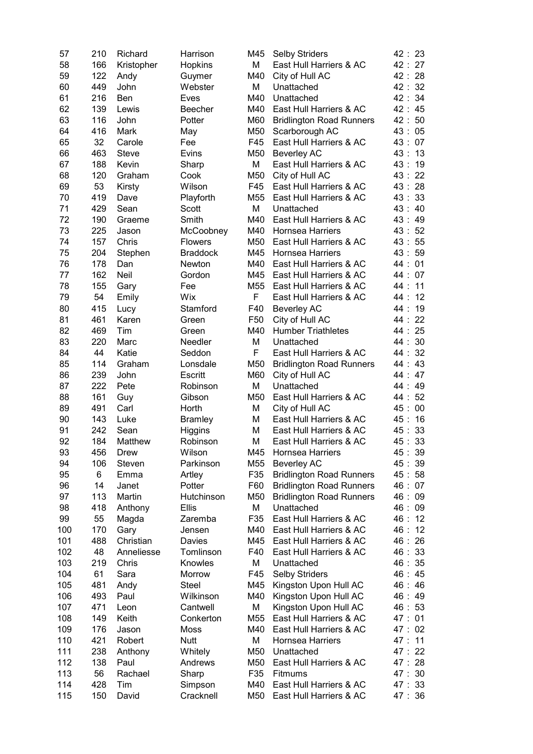| 57  | 210 | Richard         | Harrison        | M45      | <b>Selby Striders</b>           | 42:23   |    |
|-----|-----|-----------------|-----------------|----------|---------------------------------|---------|----|
| 58  | 166 | Kristopher      | Hopkins         | М        | East Hull Harriers & AC         | 42:27   |    |
| 59  | 122 | Andy            | Guymer          | M40      | City of Hull AC                 | 42:28   |    |
| 60  | 449 | John            | Webster         | M        | Unattached                      | 42:32   |    |
| 61  | 216 | Ben             | Eves            | M40      | Unattached                      | 42: 34  |    |
| 62  | 139 | Lewis           | <b>Beecher</b>  | M40      | East Hull Harriers & AC         | 42: 45  |    |
| 63  | 116 | John            | Potter          | M60      | <b>Bridlington Road Runners</b> | 42:50   |    |
| 64  | 416 | Mark            | May             | M50      | Scarborough AC                  | 43:05   |    |
| 65  | 32  | Carole          | Fee             | F45      | East Hull Harriers & AC         | 43:07   |    |
|     |     |                 |                 |          |                                 |         |    |
| 66  | 463 | <b>Steve</b>    | Evins           | M50      | <b>Beverley AC</b>              | 43:13   |    |
| 67  | 188 | Kevin           | Sharp           | М        | East Hull Harriers & AC         | 43:19   |    |
| 68  | 120 | Graham          | Cook            | M50      | City of Hull AC                 | 43: 22  |    |
| 69  | 53  | Kirsty          | Wilson          | F45      | East Hull Harriers & AC         | 43:28   |    |
| 70  | 419 | Dave            | Playforth       | M55      | East Hull Harriers & AC         | 43:33   |    |
| 71  | 429 | Sean            | Scott           | M        | Unattached                      | 43:40   |    |
| 72  | 190 | Graeme          | Smith           | M40      | East Hull Harriers & AC         | 43:49   |    |
| 73  | 225 | Jason           | McCoobney       | M40      | Hornsea Harriers                | 43 :    | 52 |
| 74  | 157 | Chris           | <b>Flowers</b>  | M50      | East Hull Harriers & AC         | 43:55   |    |
| 75  | 204 | Stephen         | <b>Braddock</b> | M45      | <b>Hornsea Harriers</b>         | 43:59   |    |
| 76  | 178 | Dan             | Newton          | M40      | East Hull Harriers & AC         | 44:01   |    |
| 77  | 162 | <b>Neil</b>     | Gordon          | M45      | East Hull Harriers & AC         | 44:07   |    |
| 78  | 155 | Gary            | Fee             | M55      | East Hull Harriers & AC         | 44 :    | 11 |
| 79  | 54  | Emily           | Wix             | F        | East Hull Harriers & AC         | 44: 12  |    |
| 80  | 415 | Lucy            | Stamford        | F40      | <b>Beverley AC</b>              | 44: 19  |    |
| 81  | 461 | Karen           | Green           | F50      | City of Hull AC                 | 44: 22  |    |
| 82  | 469 | Tim             | Green           | M40      | <b>Humber Triathletes</b>       | 44: 25  |    |
| 83  | 220 | Marc            | Needler         | M        | Unattached                      | 44:30   |    |
| 84  | 44  | Katie           | Seddon          | F        | East Hull Harriers & AC         | 44 :    | 32 |
| 85  | 114 | Graham          | Lonsdale        | M50      | <b>Bridlington Road Runners</b> | 44: 43  |    |
| 86  | 239 | John            | Escritt         | M60      | City of Hull AC                 | 44: 47  |    |
| 87  | 222 | Pete            | Robinson        | M        | Unattached                      | 44 :    | 49 |
|     |     |                 |                 | M50      |                                 |         | 52 |
| 88  | 161 | Guy             | Gibson          |          | East Hull Harriers & AC         | 44 :    |    |
| 89  | 491 | Carl            | Horth           | M        | City of Hull AC                 | 45:     | 00 |
| 90  | 143 | Luke            | <b>Bramley</b>  | M        | East Hull Harriers & AC         | 45:     | 16 |
| 91  | 242 | Sean            | Higgins         | M        | East Hull Harriers & AC         | 45 :    | 33 |
| 92  | 184 | Matthew         | Robinson        | Μ        | East Hull Harriers & AC         | 45:33   |    |
| 93  | 456 | Drew            | Wilson          | M45      | <b>Hornsea Harriers</b>         | 45:39   |    |
| 94  | 106 | Steven          | Parkinson       | M55      | <b>Beverley AC</b>              | 45:39   |    |
| 95  | 6   | Emma            | Artley          | F35      | <b>Bridlington Road Runners</b> | 45:58   |    |
| 96  | 14  | Janet           | Potter          | F60      | <b>Bridlington Road Runners</b> | 46:07   |    |
| 97  | 113 | Martin          | Hutchinson      | M50      | <b>Bridlington Road Runners</b> | 46:09   |    |
| 98  | 418 | Anthony         | <b>Ellis</b>    | М        | Unattached                      | 46:09   |    |
| 99  | 55  | Magda           | Zaremba         | F35      | East Hull Harriers & AC         | 46:12   |    |
| 100 | 170 | Gary            | Jensen          | M40      | East Hull Harriers & AC         | 46:12   |    |
| 101 | 488 | Christian       | Davies          | M45      | East Hull Harriers & AC         | 46: 26  |    |
| 102 | 48  | Anneliesse      | Tomlinson       | F40      | East Hull Harriers & AC         | 46:33   |    |
| 103 | 219 | Chris           | Knowles         | M        | Unattached                      | 46: 35  |    |
| 104 | 61  | Sara            | Morrow          | F45      | <b>Selby Striders</b>           | 46: 45  |    |
| 105 | 481 | Andy            | Steel           | M45      | Kingston Upon Hull AC           | 46:46   |    |
| 106 | 493 | Paul            | Wilkinson       | M40      | Kingston Upon Hull AC           | 46:49   |    |
| 107 | 471 | Leon            | Cantwell        | М        | Kingston Upon Hull AC           | 46:53   |    |
| 108 | 149 | Keith           | Conkerton       | M55      | East Hull Harriers & AC         | 47:01   |    |
| 109 | 176 |                 |                 |          | East Hull Harriers & AC         |         |    |
| 110 | 421 | Jason<br>Robert | Moss            | M40<br>М |                                 | 47:02   |    |
|     |     |                 | <b>Nutt</b>     |          | Hornsea Harriers                | 47 : 11 |    |
| 111 | 238 | Anthony         | Whitely         | M50      | Unattached                      | 47:22   |    |
| 112 | 138 | Paul            | Andrews         | M50      | East Hull Harriers & AC         | 47 : 28 |    |
| 113 | 56  | Rachael         | Sharp           | F35      | <b>Fitmums</b>                  | 47:30   |    |
| 114 | 428 | Tim             | Simpson         | M40      | East Hull Harriers & AC         | 47: 33  |    |
| 115 | 150 | David           | Cracknell       | M50      | East Hull Harriers & AC         | 47:36   |    |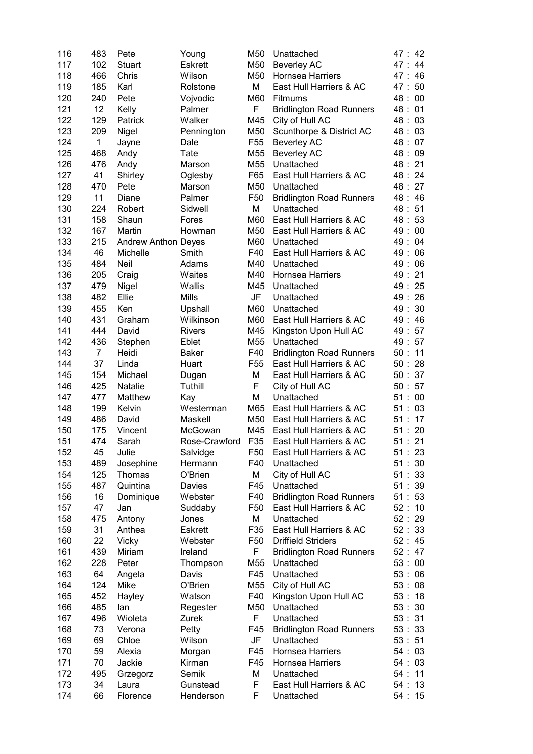| 116 | 483            | Pete                       | Young            | M50             | Unattached                      | 47 : 42     |
|-----|----------------|----------------------------|------------------|-----------------|---------------------------------|-------------|
| 117 | 102            | <b>Stuart</b>              | <b>Eskrett</b>   | M50             | <b>Beverley AC</b>              | 47:44       |
| 118 | 466            | Chris                      | Wilson           | M50             | Hornsea Harriers                | 46<br>47:   |
| 119 | 185            | Karl                       | Rolstone         | M               | East Hull Harriers & AC         | -50<br>47 : |
| 120 | 240            | Pete                       | Vojvodic         | M60             | <b>Fitmums</b>                  | 48:00       |
| 121 | 12             | Kelly                      | Palmer           | F               | <b>Bridlington Road Runners</b> | 48:01       |
| 122 | 129            | <b>Patrick</b>             | Walker           | M45             | City of Hull AC                 | 48:03       |
| 123 | 209            | Nigel                      | Pennington       | M50             | Scunthorpe & District AC        | 48:03       |
| 124 | 1              | Jayne                      | Dale             | F <sub>55</sub> | <b>Beverley AC</b>              | 48:07       |
|     |                |                            |                  |                 |                                 |             |
| 125 | 468            | Andy                       | Tate             | M55             | <b>Beverley AC</b>              | 48:09       |
| 126 | 476            | Andy                       | Marson           | M55             | Unattached                      | 48:21       |
| 127 | 41             | Shirley                    | Oglesby          | F65             | East Hull Harriers & AC         | 48: 24      |
| 128 | 470            | Pete                       | Marson           | M50             | Unattached                      | 48: 27      |
| 129 | 11             | Diane                      | Palmer           | F <sub>50</sub> | <b>Bridlington Road Runners</b> | 48:46       |
| 130 | 224            | Robert                     | Sidwell          | M               | Unattached                      | 48:51       |
| 131 | 158            | Shaun                      | Fores            | M60             | East Hull Harriers & AC         | 48:53       |
| 132 | 167            | Martin                     | Howman           | M50             | East Hull Harriers & AC         | 49:00       |
| 133 | 215            | <b>Andrew Anthon Deyes</b> |                  | M60             | Unattached                      | 49:<br>04   |
| 134 | 46             | Michelle                   | Smith            | F40             | East Hull Harriers & AC         | 49:<br>06   |
| 135 | 484            | Neil                       | Adams            | M40             | Unattached                      | 49:<br>06   |
| 136 | 205            | Craig                      | Waites           | M40             | Hornsea Harriers                | 49:21       |
| 137 | 479            | Nigel                      | Wallis           | M45             | Unattached                      | 49:25       |
| 138 | 482            | Ellie                      | Mills            | JF              | Unattached                      | 49:26       |
| 139 | 455            | Ken                        | Upshall          | M60             | Unattached                      | 49:30       |
| 140 | 431            | Graham                     | Wilkinson        | M60             | East Hull Harriers & AC         | 49:46       |
| 141 | 444            | David                      | <b>Rivers</b>    | M45             | Kingston Upon Hull AC           | 49:57       |
| 142 | 436            | Stephen                    | Eblet            | M55             | Unattached                      | 49:57       |
| 143 | $\overline{7}$ | Heidi                      | Baker            | F40             | <b>Bridlington Road Runners</b> | 50:11       |
| 144 | 37             | Linda                      | Huart            | F <sub>55</sub> | East Hull Harriers & AC         | 50:28       |
| 145 | 154            | Michael                    | Dugan            | M               | East Hull Harriers & AC         | 50 : 37     |
| 146 | 425            | <b>Natalie</b>             | Tuthill          | F               | City of Hull AC                 | 50 : 57     |
| 147 | 477            |                            |                  | M               | Unattached                      | 51:00       |
|     |                | Matthew                    | Kay              |                 | East Hull Harriers & AC         |             |
| 148 | 199            | Kelvin                     | Westerman        | M65             |                                 | 51:03       |
| 149 | 486            | David                      | Maskell          | M50             | East Hull Harriers & AC         | 51:<br>17   |
| 150 | 175            | Vincent                    | McGowan          | M45             | East Hull Harriers & AC         | 20<br>51:   |
| 151 | 474            | Sarah                      | Rose-Crawford    | F35             | East Hull Harriers & AC         | 51 : 21     |
| 152 | 45             | Julie                      | Salvidge         | F50             | East Hull Harriers & AC         | 51:23       |
| 153 | 489            | Josephine                  | Hermann          | F40             | Unattached                      | 51:30       |
| 154 | 125            | Thomas                     | O'Brien          | Μ               | City of Hull AC                 | 51:33       |
| 155 | 487            | Quintina                   | Davies           | F45             | Unattached                      | 51:39       |
| 156 | 16             | Dominique                  | Webster          | F40             | <b>Bridlington Road Runners</b> | 51:53       |
| 157 | 47             | Jan                        | Suddaby          | F50             | East Hull Harriers & AC         | 52:10       |
| 158 | 475            | Antony                     | Jones            | Μ               | Unattached                      | 52:29       |
| 159 | 31             | Anthea                     | <b>Eskrett</b>   | F35             | East Hull Harriers & AC         | 52 : 33     |
| 160 | 22             | Vicky                      | Webster          | F50             | <b>Driffield Striders</b>       | 52:45       |
| 161 | 439            | Miriam                     | Ireland          | F               | <b>Bridlington Road Runners</b> | 52:47       |
| 162 | 228            | Peter                      | Thompson         | M55             | Unattached                      | 53:00       |
| 163 | 64             | Angela                     | Davis            | F45             | Unattached                      | 53:06       |
| 164 | 124            | Mike                       | O'Brien          | M55             | City of Hull AC                 | 53:08       |
| 165 | 452            | Hayley                     | Watson           | F40             | Kingston Upon Hull AC           | 53:<br>18   |
| 166 | 485            | lan                        | Regester         | M50             | Unattached                      | 53:30       |
| 167 | 496            | Wioleta                    | Zurek            | F.              | Unattached                      | 53 : 31     |
| 168 | 73             | Verona                     | Petty            | F45             | <b>Bridlington Road Runners</b> | 53:33       |
| 169 | 69             | Chloe                      | Wilson           | JF              | Unattached                      | 53:51       |
| 170 | 59             | Alexia                     |                  | F45             | Hornsea Harriers                | 54:03       |
| 171 | 70             | Jackie                     | Morgan<br>Kirman | F45             | Hornsea Harriers                | 54:03       |
|     |                |                            |                  | Μ               |                                 |             |
| 172 | 495            | Grzegorz                   | Semik            |                 | Unattached                      | 54:11       |
| 173 | 34             | Laura                      | Gunstead         | F               | East Hull Harriers & AC         | 54:13       |
| 174 | 66             | Florence                   | Henderson        | F               | Unattached                      | 54:15       |